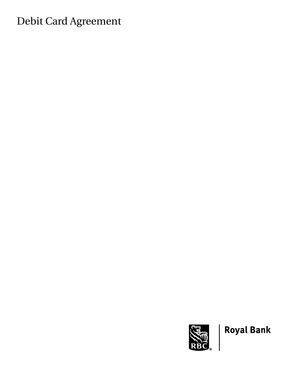# Debit Card Agreement



**Royal Bank**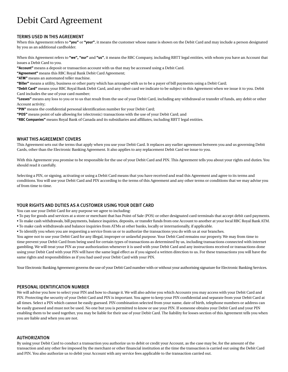# Debit Card Agreement

# TERMS USED IN THIS AGREEMENT

When this Agreement refers to **"you"** or **"your"**, it means the customer whose name is shown on the Debit Card and may include a person designated by you as an additional cardholder.

When this Agreement refers to **"we", "our"** and **"us"**, it means the RBC Company, including RBTT legal entities, with whom you have an Account that issues a Debit Card to you.

**"Account"** means a deposit or transaction account with us that may be accessed using a Debit Card.

**"Agreement"** means this RBC Royal Bank Debit Card Agreement;

**"ATM"** means an automated teller machine.

**"Biller"** means a utility, business or other party which has arranged with us to be a payer of bill payments using a Debit Card;

**"Debit Card"** means your RBC Royal Bank Debit Card, and any other card we indicate to be subject to this Agreement when we issue it to you. Debit Card includes the use of your card number;

**"Losses"** means any loss to you or to us that result from the use of your Debit Card, including any withdrawal or transfer of funds, any debit or other Account activity;

**"PIN"** means the confidential personal identification number for your Debit Card;

**"POS"** means point of sale allowing for (electronic) transactions with the use of your Debit Card; and

**"RBC Companies"** means Royal Bank of Canada and its subsidiaries and affiliates, including RBTT legal entities.

### WHAT THIS AGREEMENT COVERS

This Agreement sets out the terms that apply when you use your Debit Card. It replaces any earlier agreement between you and us governing Debit Cards, other than the Electronic Banking Agreement. It also applies to any replacement Debit Card we issue to you.

With this Agreement you promise to be responsible for the use of your Debit Card and PIN. This Agreement tells you about your rights and duties. You should read it carefully.

Selecting a PIN, or signing, activating or using a Debit Card means that you have received and read this Agreement and agree to its terms and conditions. You will use your Debit Card and PIN according to the terms of this Agreement and any other terms or conditions that we may advise you of from time to time.

# YOUR RIGHTS AND DUTIES AS A CUSTOMER USING YOUR DEBIT CARD

You can use your Debit Card for any purpose we agree to including:

• To pay for goods and services at a store or merchant that has Point-of Sale (POS) or other designated card terminals that accept debit card payments.

- To make cash withdrawals, bill payments, balance inquiries, deposits, or transfer funds from one Account to another at your local RBC Royal Bank ATM.
- To make cash withdrawals and balance inquiries from ATMs at other banks, locally or internationally, if applicable.
- To identify you when you are requesting a service from us or to authorize the transactions you do with us at our branches.

You agree not to use your Debit Card for any illegal, improper or unlawful purpose. Your Debit Card remains our property. We may from time to time prevent your Debit Card from being used for certain types of transactions as determined by us, including transactions connected with internet gambling. We will treat your PIN as your authorization whenever it is used with your Debit Card and any instructions received or transactions done using your Debit Card with your PIN will have the same legal effect as if you signed a written direction to us. For these transactions you will have the same rights and responsibilities as if you had used your Debit Card with your PIN.

Your Electronic Banking Agreement governs the use of your Debit Card number with or without your authorising signature for Electronic Banking Services.

# PERSONAL IDENTIFICATION NUMBER

We will advise you how to select your PIN and how to change it. We will also advise you which Accounts you may access with your Debit Card and PIN. Protecting the security of your Debit Card and PIN is important. You agree to keep your PIN confidential and separate from your Debit Card at all times. Select a PIN which cannot be easily guessed. PIN combination selected from your name, date of birth, telephone numbers or address can be easily guessed and must not be used. No one but you is permitted to know or use your PIN. If someone obtains your Debit Card and your PIN enabling them to be used together, you may be liable for their use of your Debit Card. The liability for losses section of this Agreement tells you when you are liable and when you are not.

# AUTHORIZATION

By using your Debit Card to conduct a transaction you authorize us to debit or credit your Account, as the case may be, for the amount of the transaction and any other fee imposed by the merchant or other financial institution at the time the transaction is carried out using the Debit Card and PIN. You also authorize us to debit your Account with any service fees applicable to the transaction carried out.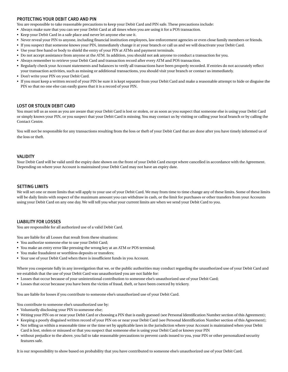# PROTECTING YOUR DEBIT CARD AND PIN

You are responsible to take reasonable precautions to keep your Debit Card and PIN safe. These precautions include:

- Always make sure that you can see your Debit Card at all times when you are using it for a POS transaction.
- Keep your Debit Card in a safe place and never let anyone else use it.
- Never reveal your PIN to anyone, including financial institution employees, law enforcement agencies or even close family members or friends.
- If you suspect that someone knows your PIN, immediately change it at your branch or call us and we will deactivate your Debit Card.
- Use your free hand or body to shield the entry of your PIN at ATMs and payment terminals.
- Do not accept assistance from anyone at the ATM. In addition, you should not ask anyone to conduct a transaction for you.
- Always remember to retrieve your Debit Card and transaction record after every ATM and POS transaction.
- Regularly check your Account statements and balances to verify all transactions have been properly recorded. If entries do not accurately reflect your transaction activities, such as missing or additional transactions, you should visit your branch or contact us immediately.
- Don't write your PIN on your Debit Card.
- If you must keep a written record of your PIN be sure it is kept separate from your Debit Card and make a reasonable attempt to hide or disguise the PIN so that no one else can easily guess that it is a record of your PIN.

# LOST OR STOLEN DEBIT CARD

You must tell us as soon as you are aware that your Debit Card is lost or stolen, or as soon as you suspect that someone else is using your Debit Card or simply knows your PIN, or you suspect that your Debit Card is missing. You may contact us by visiting or calling your local branch or by calling the Contact Centre.

You will not be responsible for any transactions resulting from the loss or theft of your Debit Card that are done after you have timely informed us of the loss or theft.

#### **VALIDITY**

Your Debit Card will be valid until the expiry date shown on the front of your Debit Card except where cancelled in accordance with the Agreement. Depending on where your Account is maintained your Debit Card may not have an expiry date.

#### SETTING LIMITS

We will set one or more limits that will apply to your use of your Debit Card. We may from time to time change any of these limits. Some of these limits will be daily limits with respect of the maximum amount you can withdraw in cash, or the limit for purchases or other transfers from your Accounts using your Debit Card on any one day. We will tell you what your current limits are when we send your Debit Card to you.

#### LIABILITY FOR LOSSES

You are responsible for all authorized use of a valid Debit Card.

You are liable for all Losses that result from these situations:

- You authorize someone else to use your Debit Card;
- You make an entry error like pressing the wrong key at an ATM or POS terminal;
- You make fraudulent or worthless deposits or transfers;
- Your use of your Debit Card when there is insufficient funds in you Account.

Where you cooperate fully in any investigation that we, or the public authorities may conduct regarding the unauthorized use of your Debit Card and we establish that the use of your Debit Card was unauthorized you are not liable for:

- Losses that occur because of your unintentional contribution to someone else's unauthorized use of your Debit Card;
- Losses that occur because you have been the victim of fraud, theft, or have been coerced by trickery.

You are liable for losses if you contribute to someone else's unauthorized use of your Debit Card.

You contribute to someone else's unauthorized use by:

- Voluntarily disclosing your PIN to someone else;
- Writing your PIN on or near your Debit Card or choosing a PIN that is easily guessed (see Personal Identification Number section of this Agreement);
- Keeping a poorly disguised written record of your PIN on or near your Debit Card (see Personal Identification Number section of this Agreement);
- Not telling us within a reasonable time or the time set by applicable laws in the jurisdiction where your Account is maintained when your Debit Card is lost, stolen or misused or that you suspect that someone else is using your Debit Card or knows your PIN
- without prejudice to the above, you fail to take reasonable precautions to prevent cards issued to you, your PIN or other personalized security features safe.

It is our responsibility to show based on probability that you have contributed to someone else's unauthorized use of your Debit Card.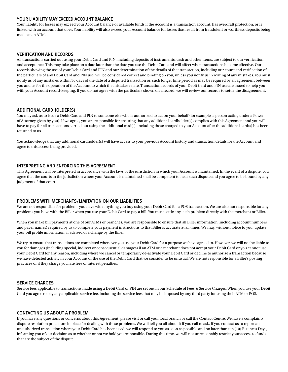# YOUR LIABILITY MAY EXCEED ACCOUNT BALANCE

Your liability for losses may exceed your Account balance or available funds if the Account is a transaction account, has overdraft protection, or is linked with an account that does. Your liability will also exceed your Account balance for losses that result from fraudulent or worthless deposits being made at an ATM.

# VERIFICATION AND RECORDS

All transactions carried out using your Debit Card and PIN, including deposits of instruments, cash and other items, are subject to our verification and acceptance. This may take place on a date later than the date you use the Debit Card and will affect when transactions become effective. Our records showing the use of your Debit Card and PIN and our determination of the details of that transaction, including our count and verification of the particulars of any Debit Card and PIN use, will be considered correct and binding on you, unless you notify us in writing of any mistakes. You must notify us of any mistakes within 30 days of the date of a disputed transaction or, such longer time period as may be required by an agreement between you and us for the operation of the Account to which the mistakes relate. Transaction records of your Debit Card and PIN use are issued to help you with your Account record-keeping. If you do not agree with the particulars shown on a record, we will review our records to settle the disagreement.

# ADDITIONAL CARDHOLDER(S)

You may ask us to issue a Debit Card and PIN to someone else who is authorized to act on your behalf (for example, a person acting under a Power of Attorney given by you). If we agree, you are responsible for ensuring that any additional cardholder(s) complies with this Agreement and you will have to pay for all transactions carried out using the additional card(s), including those charged to your Account after the additional card(s) has been returned to us.

You acknowledge that any additional cardholder(s) will have access to your previous Account history and transaction details for the Account and agree to this access being provided.

# INTERPRETING AND ENFORCING THIS AGREEMENT

This Agreement will be interpreted in accordance with the laws of the jurisdiction in which your Account is maintained. In the event of a dispute, you agree that the courts in the jurisdiction where your Account is maintained shall be competent to hear such dispute and you agree to be bound by any judgment of that court.

# PROBLEMS WITH MERCHANTS/LIMITATION ON OUR LIABILITIES

We are not responsible for problems you have with anything you buy using your Debit Card for a POS transaction. We are also not responsible for any problems you have with the Biller when you use your Debit Card to pay a bill. You must settle any such problem directly with the merchant or Biller.

When you make bill payments at one of our ATMs or branches, you are responsible to ensure that all Biller information (including account numbers and payer names) required by us to complete your payment instructions to that Biller is accurate at all times. We may, without notice to you, update your bill profile information, if advised of a change by the Biller.

We try to ensure that transactions are completed whenever you use your Debit Card for a purpose we have agreed to. However, we will not be liable to you for damages (including special, indirect or consequential damages) if an ATM or a merchant does not accept your Debit Card or you cannot use your Debit Card for any reason, including where we cancel or temporarily de-activate your Debit Card or decline to authorize a transaction because we have detected activity in your Account or the use of the Debit Card that we consider to be unusual. We are not responsible for a Biller's posting practices or if they charge you late fees or interest penalties.

#### SERVICE CHARGES

Service fees applicable to transactions made using a Debit Card or PIN are set out in our Schedule of Fees & Service Charges. When you use your Debit Card you agree to pay any applicable service fee, including the service fees that may be imposed by any third party for using their ATM or POS.

# CONTACTING US ABOUT A PROBLEM

If you have any questions or concerns about this Agreement, please visit or call your local branch or call the Contact Centre. We have a complaint/ dispute resolution procedure in place for dealing with these problems. We will tell you all about it if you call to ask. If you contact us to report an unauthorized transaction where your Debit Card has been used, we will respond to you as soon as possible and no later than ten (10) Business Days, informing you of our decision as to whether or not we hold you responsible. During this time, we will not unreasonably restrict your access to funds that are the subject of the dispute.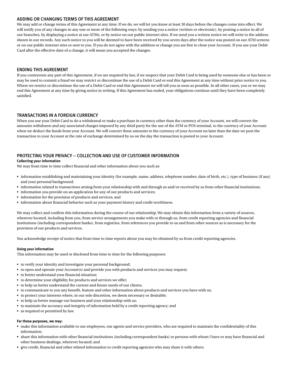# ADDING OR CHANGING TERMS OF THIS AGREEMENT

We may add or change terms of this Agreement at any time. If we do, we will let you know at least 30 days before the changes come into effect. We will notify you of any changes in any one or more of the following ways: by sending you a notice (written or electronic), by posting a notice in all of our branches, by displaying a notice at our ATMs, or by notice on our public internet sites. If we send you a written notice we will write to the address shown in our records. Any such notice to you will be deemed to have been received by you seven days after the notice was posted on our ATM screens or on our public internet sites or sent to you. If you do not agree with the addition or change you are free to close your Account. If you use your Debit Card after the effective date of a change, it will mean you accepted the changes.

# ENDING THIS AGREEMENT

If you contravene any part of this Agreement, if we are required by law, if we suspect that your Debit Card is being used by someone else or has been or may be used to commit a fraud we may restrict or discontinue the use of a Debit Card or end this Agreement at any time without prior notice to you. Where we restrict or discontinue the use of a Debit Card or end this Agreement we will tell you as soon as possible. In all other cases, you or we may end this Agreement at any time by giving notice in writing. If this Agreement has ended, your obligations continue until they have been completely satisfied.

# TRANSACTIONS IN A FOREIGN CURRENCY

When you use your Debit Card to do a withdrawal or make a purchase in currency other than the currency of your Account, we will convert the amounts withdrawn and any associated charges imposed by any third party for the use of the ATM or POS terminal, to the currency of your Account when we deduct the funds from your Account. We will convert these amounts to the currency of your Account no later than the date we post the transaction to your Account at the rate of exchange determined by us on the day the transaction is posted to your Account.

# PROTECTING YOUR PRIVACY – COLLECTION AND USE OF CUSTOMER INFORMATION

#### **Collecting your information**

We may from time to time collect financial and other information about you such as:

- information establishing and maintaining your identity (for example, name, address, telephone number, date of birth, etc.), type of business (if any) and your personal background;
- information related to transactions arising from your relationship with and through us and/or received by us from other financial institutions;
- information you provide on an application for any of our products and services;
- information for the provision of products and services; and
- information about financial behavior such as your payment history and credit worthiness.

We may collect and confirm this information during the course of our relationship. We may obtain this information from a variety of sources, wherever located, including from you, from service arrangements you make with or through us, from credit reporting agencies and financial institutions (including correspondent banks), from registries, from references you provide to us and from other sources as is necessary for the provision of our products and services.

You acknowledge receipt of notice that from time to time reports about you may be obtained by us from credit reporting agencies.

#### **Using your information**

This information may be used or disclosed from time to time for the following purposes:

- to verify your identity and investigate your personal background;
- to open and operate your Account(s) and provide you with products and services you may request;
- to better understand your financial situation;
- to determine your eligibility for products and services we offer;
- to help us better understand the current and future needs of our clients;
- to communicate to you any benefit, feature and other information about products and services you have with us;
- to protect your interests where, in our sole discretion, we deem necessary or desirable;
- to help us better manage our business and your relationship with us;
- to maintain the accuracy and integrity of information held by a credit reporting agency; and
- as required or permitted by law.

#### **For these purposes, we may:**

- make this information available to our employees, our agents and service providers, who are required to maintain the confidentiality of this information;
- share this information with other financial institutions (including correspondent banks) or persons with whom I have or may have financial and other business dealings, wherever located; and
- give credit, financial and other related information to credit reporting agencies who may share it with others.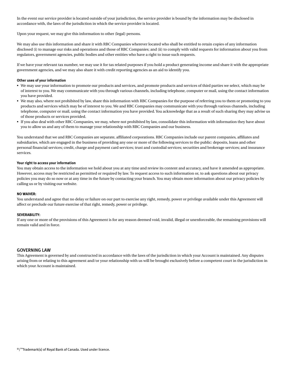In the event our service provider is located outside of your jurisdiction, the service provider is bound by the information may be disclosed in accordance with, the laws of the jurisdiction in which the service provider is located.

Upon your request, we may give this information to other (legal) persons.

We may also use this information and share it with RBC Companies wherever located who shall be entitled to retain copies of any information disclosed (i) to manage our risks and operations and those of RBC Companies; and (ii) to comply with valid requests for information about you from regulators, government agencies, public bodies and other entities who have a right to issue such requests.

If we have your relevant tax number, we may use it for tax related purposes if you hold a product generating income and share it with the appropriate government agencies, and we may also share it with credit reporting agencies as an aid to identify you.

#### **Other uses of your information**

- We may use your information to promote our products and services, and promote products and services of third parties we select, which may be of interest to you. We may communicate with you through various channels, including telephone, computer or mail, using the contact information you have provided.
- We may also, where not prohibited by law, share this information with RBC Companies for the purpose of referring you to them or promoting to you products and services which may be of interest to you. We and RBC Companies may communicate with you through various channels, including telephone, computer or mail, using the contact information you have provided. You acknowledge that as a result of such sharing they may advise us of those products or services provided.
- If you also deal with other RBC Companies, we may, where not prohibited by law, consolidate this information with information they have about you to allow us and any of them to manage your relationship with RBC Companies and our business.

You understand that we and RBC Companies are separate, affiliated corporations. RBC Companies include our parent companies, affiliates and subsidiaries, which are engaged in the business of providing any one or more of the following services to the public: deposits, loans and other personal financial services; credit, charge and payment card services; trust and custodial services; securities and brokerage services; and insurance services.

#### **Your right to access your information**

You may obtain access to the information we hold about you at any time and review its content and accuracy, and have it amended as appropriate. However, access may be restricted as permitted or required by law. To request access to such information or, to ask questions about our privacy policies you may do so now or at any time in the future by contacting your branch. You may obtain more information about our privacy policies by calling us or by visiting our website.

#### **NO WAIVER:**

You understand and agree that no delay or failure on our part to exercise any right, remedy, power or privilege available under this Agreement will affect or preclude our future exercise of that right, remedy, power or privilege.

#### **SEVERABILITY:**

If any one or more of the provisions of this Agreement is for any reason deemed void, invalid, illegal or unenforceable, the remaining provisions will remain valid and in force.

#### GOVERNING LAW

This Agreement is governed by and constructed in accordance with the laws of the jurisdiction in which your Account is maintained. Any disputes arising from or relating to this agreement and/or your relationship with us will be brought exclusively before a competent court in the jurisdiction in which your Account is maintained.